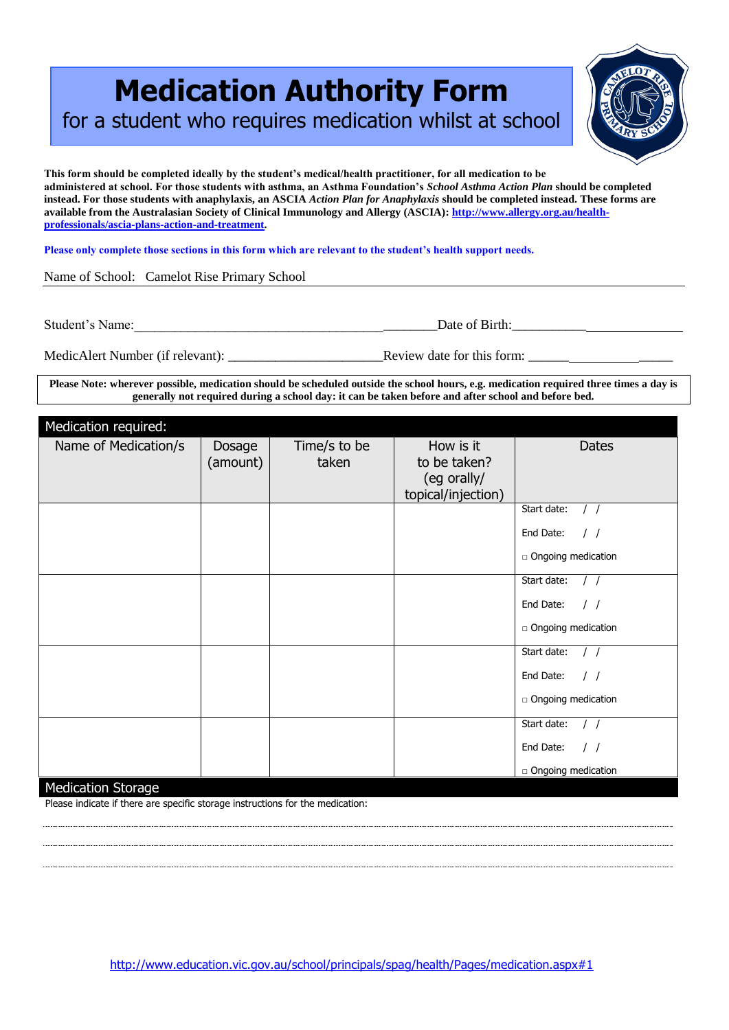## **Medication Authority Form**

for a student who requires medication whilst at school

**This form should be completed ideally by the student's medical/health practitioner, for all medication to be administered at school. For those students with asthma, an Asthma Foundation's** *School Asthma Action Plan* **should be completed instead. For those students with anaphylaxis, an ASCIA** *Action Plan for Anaphylaxis* **should be completed instead. These forms are available from the Australasian Society of Clinical Immunology and Allergy (ASCIA)[: http://www.allergy.org.au/health](http://www.allergy.org.au/health-professionals/ascia-plans-action-and-treatment)[professionals/ascia-plans-action-and-treatment.](http://www.allergy.org.au/health-professionals/ascia-plans-action-and-treatment)**

**Please only complete those sections in this form which are relevant to the student's health support needs.** 

Name of School: Camelot Rise Primary School

Student's Name:\_\_\_\_\_\_\_\_\_\_\_\_\_\_\_\_\_\_\_\_\_\_\_\_\_\_\_\_\_\_\_\_\_\_\_\_\_\_\_\_\_\_\_\_\_Date of Birth:\_\_\_\_\_\_\_\_\_\_\_

MedicAlert Number (if relevant): \_\_\_\_\_\_\_\_\_\_\_\_\_\_\_\_\_\_\_\_\_\_\_Review date for this form: \_\_\_\_\_\_ \_\_\_\_\_

**Please Note: wherever possible, medication should be scheduled outside the school hours, e.g. medication required three times a day is generally not required during a school day: it can be taken before and after school and before bed.**

| Medication required: |          |              |                    |                                |
|----------------------|----------|--------------|--------------------|--------------------------------|
| Name of Medication/s | Dosage   | Time/s to be | How is it          | <b>Dates</b>                   |
|                      | (amount) | taken        | to be taken?       |                                |
|                      |          |              | (eg orally/        |                                |
|                      |          |              | topical/injection) | Start date:                    |
|                      |          |              |                    |                                |
|                      |          |              |                    | End Date:<br>$\left  \right $  |
|                      |          |              |                    | □ Ongoing medication           |
|                      |          |              |                    | Start date:                    |
|                      |          |              |                    | End Date:<br>$\prime$ $\prime$ |
|                      |          |              |                    | n Ongoing medication           |
|                      |          |              |                    | Start date:                    |
|                      |          |              |                    | End Date:<br>$\left  \right $  |
|                      |          |              |                    | □ Ongoing medication           |
|                      |          |              |                    | Start date:                    |
|                      |          |              |                    | End Date:<br>$\prime$ $\prime$ |
| $M = \frac{1}{2}$    |          |              |                    | n Ongoing medication           |

## Medication Storage

Please indicate if there are specific storage instructions for the medication: